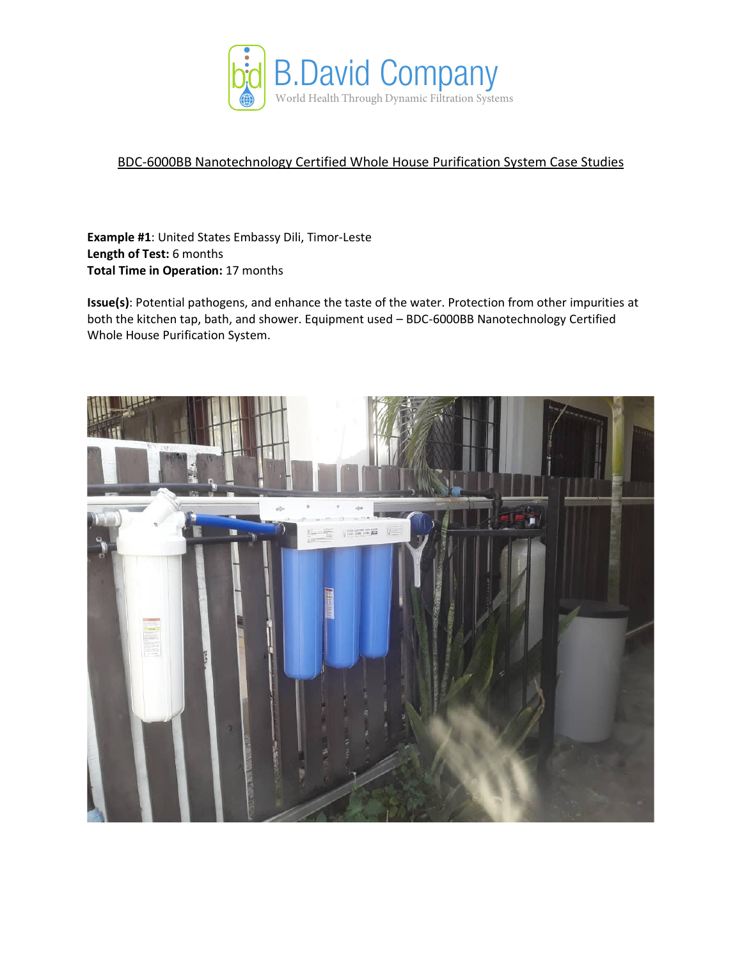

## BDC-6000BB Nanotechnology Certified Whole House Purification System Case Studies

**Example #1**: United States Embassy Dili, Timor-Leste **Length of Test:** 6 months **Total Time in Operation:** 17 months

**Issue(s)**: Potential pathogens, and enhance the taste of the water. Protection from other impurities at both the kitchen tap, bath, and shower. Equipment used – BDC-6000BB Nanotechnology Certified Whole House Purification System.